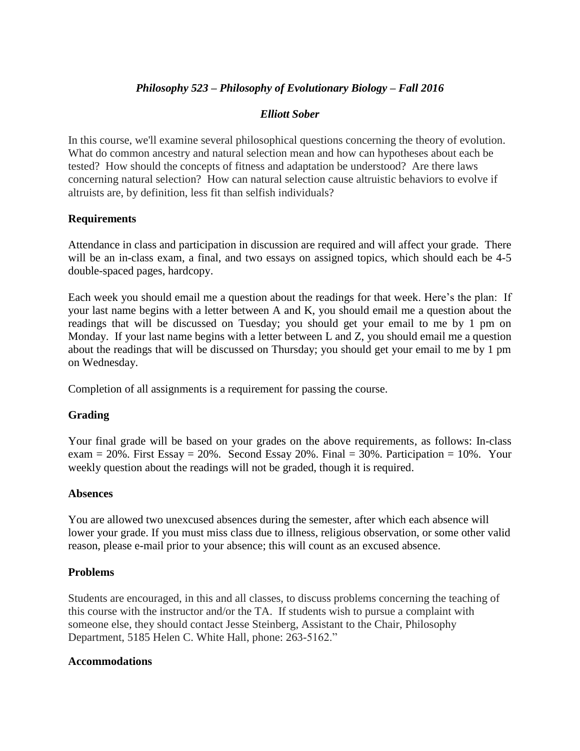# *Philosophy 523 – Philosophy of Evolutionary Biology – Fall 2016*

# *Elliott Sober*

In this course, we'll examine several philosophical questions concerning the theory of evolution. What do common ancestry and natural selection mean and how can hypotheses about each be tested? How should the concepts of fitness and adaptation be understood? Are there laws concerning natural selection? How can natural selection cause altruistic behaviors to evolve if altruists are, by definition, less fit than selfish individuals?

# **Requirements**

Attendance in class and participation in discussion are required and will affect your grade. There will be an in-class exam, a final, and two essays on assigned topics, which should each be 4-5 double-spaced pages, hardcopy.

Each week you should email me a question about the readings for that week. Here's the plan: If your last name begins with a letter between A and K, you should email me a question about the readings that will be discussed on Tuesday; you should get your email to me by 1 pm on Monday. If your last name begins with a letter between L and Z, you should email me a question about the readings that will be discussed on Thursday; you should get your email to me by 1 pm on Wednesday.

Completion of all assignments is a requirement for passing the course.

# **Grading**

Your final grade will be based on your grades on the above requirements, as follows: In-class exam  $= 20\%$ . First Essay  $= 20\%$ . Second Essay 20%. Final  $= 30\%$ . Participation  $= 10\%$ . Your weekly question about the readings will not be graded, though it is required.

### **Absences**

You are allowed two unexcused absences during the semester, after which each absence will lower your grade. If you must miss class due to illness, religious observation, or some other valid reason, please e-mail prior to your absence; this will count as an excused absence.

### **Problems**

Students are encouraged, in this and all classes, to discuss problems concerning the teaching of this course with the instructor and/or the TA. If students wish to pursue a complaint with someone else, they should contact Jesse Steinberg, Assistant to the Chair, Philosophy Department, 5185 Helen C. White Hall, phone: 263-5162."

### **Accommodations**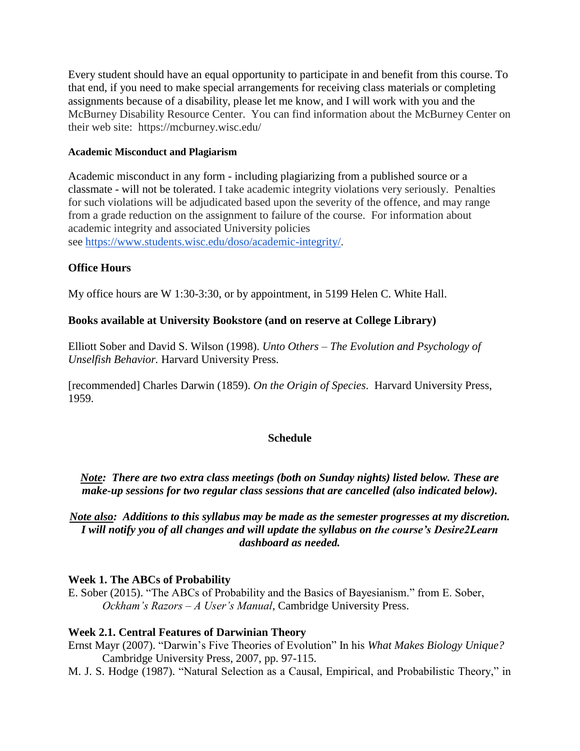Every student should have an equal opportunity to participate in and benefit from this course. To that end, if you need to make special arrangements for receiving class materials or completing assignments because of a disability, please let me know, and I will work with you and the McBurney Disability Resource Center. You can find information about the McBurney Center on their web site: https://mcburney.wisc.edu/

### **Academic Misconduct and Plagiarism**

Academic misconduct in any form - including plagiarizing from a published source or a classmate - will not be tolerated. I take academic integrity violations very seriously. Penalties for such violations will be adjudicated based upon the severity of the offence, and may range from a grade reduction on the assignment to failure of the course. For information about academic integrity and associated University policies see [https://www.students.wisc.edu/doso/academic-integrity/.](https://www.students.wisc.edu/doso/academic-integrity/)

### **Office Hours**

My office hours are W 1:30-3:30, or by appointment, in 5199 Helen C. White Hall.

### **Books available at University Bookstore (and on reserve at College Library)**

Elliott Sober and David S. Wilson (1998). *Unto Others – The Evolution and Psychology of Unselfish Behavior.* Harvard University Press.

[recommended] Charles Darwin (1859). *On the Origin of Species*. Harvard University Press, 1959.

### **Schedule**

*Note: There are two extra class meetings (both on Sunday nights) listed below. These are make-up sessions for two regular class sessions that are cancelled (also indicated below).* 

# *Note also: Additions to this syllabus may be made as the semester progresses at my discretion. I will notify you of all changes and will update the syllabus on the course's Desire2Learn dashboard as needed.*

### **Week 1. The ABCs of Probability**

E. Sober (2015). "The ABCs of Probability and the Basics of Bayesianism." from E. Sober, *Ockham's Razors – A User's Manual*, Cambridge University Press.

### **Week 2.1. Central Features of Darwinian Theory**

- Ernst Mayr (2007). "Darwin's Five Theories of Evolution" In his *What Makes Biology Unique?* Cambridge University Press, 2007, pp. 97-115.
- M. J. S. Hodge (1987). "Natural Selection as a Causal, Empirical, and Probabilistic Theory," in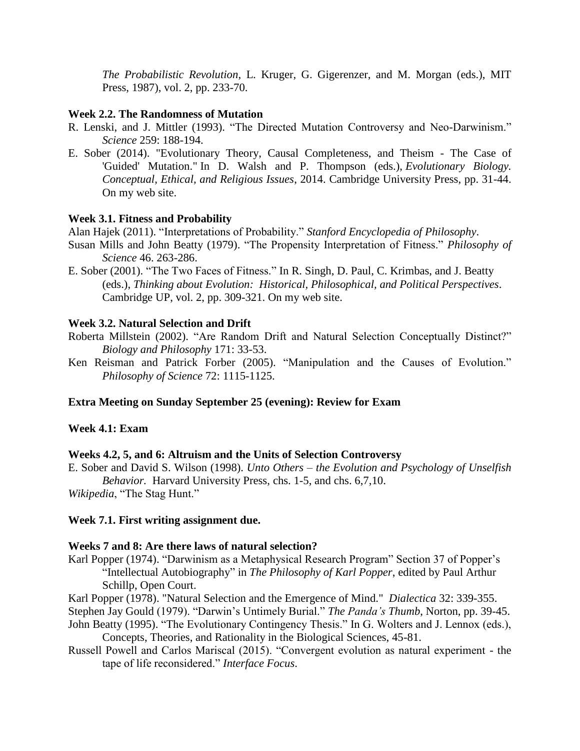*The Probabilistic Revolution*, L. Kruger, G. Gigerenzer, and M. Morgan (eds.), MIT Press, 1987), vol. 2, pp. 233-70.

### **Week 2.2. The Randomness of Mutation**

- R. Lenski, and J. Mittler (1993). "The Directed Mutation Controversy and Neo-Darwinism." *Science* 259: 188-194.
- E. Sober (2014). ["Evolutionary Theory, Causal Completeness, and Theism](http://sober.philosophy.wisc.edu/selected-papers/ID-2014-EvolutionaryTheoryCausalCompletenessAndTheism.pdf?attredirects=0) The Case of ['Guided' Mutation.](http://sober.philosophy.wisc.edu/selected-papers/ID-2014-EvolutionaryTheoryCausalCompletenessAndTheism.pdf?attredirects=0)" In D. Walsh and P. Thompson (eds.), *Evolutionary Biology. Conceptual, Ethical, and Religious Issues*, 2014. Cambridge University Press, pp. 31-44. On my web site.

### **Week 3.1. Fitness and Probability**

Alan Hajek (2011). "Interpretations of Probability." *Stanford Encyclopedia of Philosophy*.

- Susan Mills and John Beatty (1979). "The Propensity Interpretation of Fitness." *Philosophy of Science* 46. 263-286.
- E. Sober (2001). "The Two Faces of Fitness." In R. Singh, D. Paul, C. Krimbas, and J. Beatty (eds.), *Thinking about Evolution: Historical, Philosophical, and Political Perspectives*. Cambridge UP, vol. 2, pp. 309-321. On my web site.

#### **Week 3.2. Natural Selection and Drift**

- Roberta Millstein (2002). "Are Random Drift and Natural Selection Conceptually Distinct?" *Biology and Philosophy* 171: 33-53.
- Ken Reisman and Patrick Forber (2005). "Manipulation and the Causes of Evolution." *Philosophy of Science* 72: 1115-1125.

### **Extra Meeting on Sunday September 25 (evening): Review for Exam**

#### **Week 4.1: Exam**

#### **Weeks 4.2, 5, and 6: Altruism and the Units of Selection Controversy**

E. Sober and David S. Wilson (1998). *Unto Others – the Evolution and Psychology of Unselfish Behavior.* Harvard University Press, chs. 1-5, and chs. 6,7,10.

*Wikipedia*, "The Stag Hunt."

### **Week 7.1. First writing assignment due.**

#### **Weeks 7 and 8: Are there laws of natural selection?**

Karl Popper (1974). "Darwinism as a Metaphysical Research Program" Section 37 of Popper's "Intellectual Autobiography" in *The Philosophy of Karl Popper*, edited by Paul Arthur Schillp, Open Court.

Karl Popper (1978). "Natural Selection and the Emergence of Mind." *Dialectica* 32: 339-355.

Stephen Jay Gould (1979). "Darwin's Untimely Burial." *The Panda's Thumb*, Norton, pp. 39-45.

- John Beatty (1995). "The Evolutionary Contingency Thesis." In G. Wolters and J. Lennox (eds.), Concepts, Theories, and Rationality in the Biological Sciences, 45-81.
- Russell Powell and Carlos Mariscal (2015). "Convergent evolution as natural experiment the tape of life reconsidered." *Interface Focus*.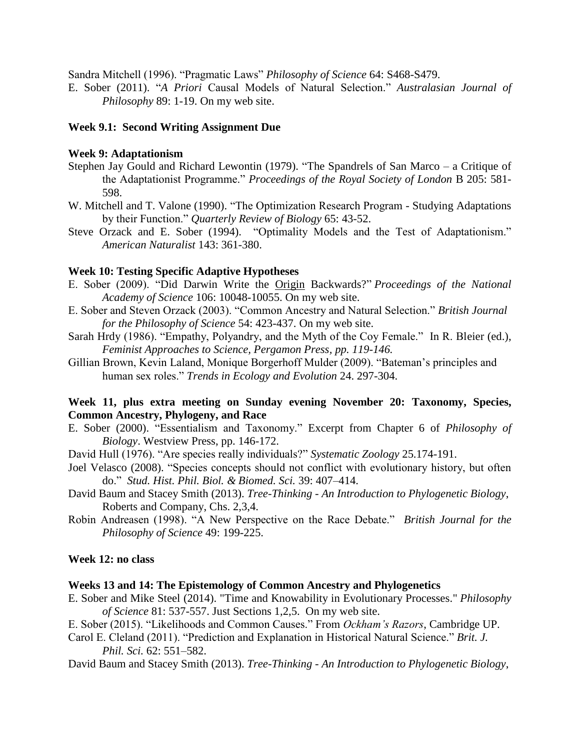Sandra Mitchell (1996). "Pragmatic Laws" *Philosophy of Science* 64: S468-S479.

E. Sober (2011). "*A Priori* Causal Models of Natural Selection." *Australasian Journal of Philosophy* 89: 1-19. On my web site.

# **Week 9.1: Second Writing Assignment Due**

### **Week 9: Adaptationism**

- Stephen Jay Gould and Richard Lewontin (1979). "The Spandrels of San Marco a Critique of the Adaptationist Programme." *Proceedings of the Royal Society of London* B 205: 581- 598.
- W. Mitchell and T. Valone (1990). "The Optimization Research Program Studying Adaptations by their Function." *Quarterly Review of Biology* 65: 43-52.
- Steve Orzack and E. Sober (1994). "Optimality Models and the Test of Adaptationism." *American Naturalist* 143: 361-380.

# **Week 10: Testing Specific Adaptive Hypotheses**

- E. Sober (2009). ["Did Darwin Write the Origin](http://sober.philosophy.wisc.edu/selected-papers/ET-2009-DidDarwinWritetheOriginBackwardsPNAS.pdf?attredirects=0) Backwards?" *Proceedings of the National Academy of Science* 106: 10048-10055. On my web site.
- E. Sober and Steven Orzack (2003). "Common Ancestry and Natural Selection." *British Journal for the Philosophy of Science* 54: 423-437. On my web site.
- Sarah Hrdy (1986). "Empathy, Polyandry, and the Myth of the Coy Female." In R. Bleier (ed.), *Feminist Approaches to Science, Pergamon Press, pp. 119-146.*
- Gillian Brown, Kevin Laland, Monique Borgerhoff Mulder (2009). "Bateman's principles and human sex roles." *Trends in Ecology and Evolution* 24. 297-304.

# **Week 11, plus extra meeting on Sunday evening November 20: Taxonomy, Species, Common Ancestry, Phylogeny, and Race**

- E. Sober (2000). "Essentialism and Taxonomy." Excerpt from Chapter 6 of *Philosophy of Biology*. Westview Press, pp. 146-172.
- David Hull (1976). "Are species really individuals?" *Systematic Zoology* 25.174-191.
- Joel Velasco (2008). "Species concepts should not conflict with evolutionary history, but often do." *Stud. Hist. Phil. Biol. & Biomed. Sci.* 39: 407–414.
- David Baum and Stacey Smith (2013). *Tree-Thinking - An Introduction to Phylogenetic Biology*, Roberts and Company, Chs. 2,3,4.
- Robin Andreasen (1998). "A New Perspective on the Race Debate." *British Journal for the Philosophy of Science* 49: 199-225.

# **Week 12: no class**

### **Weeks 13 and 14: The Epistemology of Common Ancestry and Phylogenetics**

- E. Sober and Mike Steel (2014). ["Time and Knowability in Evolutionary Processes.](http://sober.philosophy.wisc.edu/selected-papers/ET-2014-TimeAndKnowabilityInEvolutionaryProcesses.pdf?attredirects=0)" *Philosophy of Science* 81: 537-557. Just Sections 1,2,5. On my web site.
- E. Sober (2015). "Likelihoods and Common Causes." From *Ockham's Razors*, Cambridge UP.
- Carol E. Cleland (2011). "Prediction and Explanation in Historical Natural Science." *Brit. J. Phil. Sci.* 62: 551–582.
- David Baum and Stacey Smith (2013). *Tree-Thinking - An Introduction to Phylogenetic Biology*,